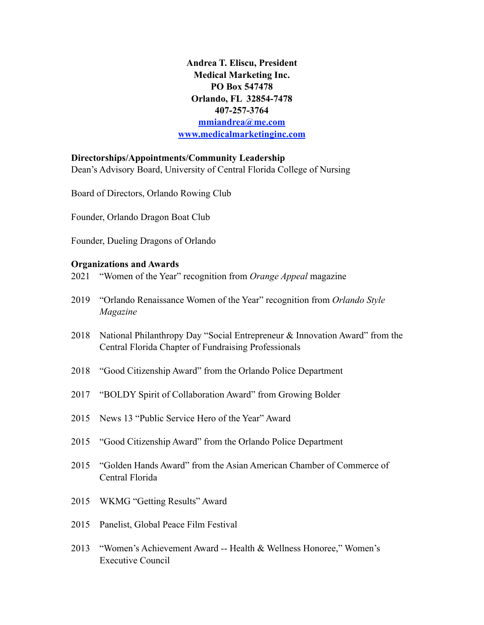**Andrea T. Eliscu, President Medical Marketing Inc. PO Box 547478 Orlando, FL 32854-7478 407-257-3764 [mmiandrea@me.com](mailto:mmiandrea@me.com?subject=) [www.medicalmarketinginc.com](http://www.medicalmarketinginc.com)**

### **Directorships/Appointments/Community Leadership**

Dean's Advisory Board, University of Central Florida College of Nursing

Board of Directors, Orlando Rowing Club

Founder, Orlando Dragon Boat Club

Founder, Dueling Dragons of Orlando

#### **Organizations and Awards**

2021 "Women of the Year" recognition from *Orange Appeal* magazine

- 2019 "Orlando Renaissance Women of the Year" recognition from *Orlando Style Magazine*
- 2018 National Philanthropy Day "Social Entrepreneur & Innovation Award" from the Central Florida Chapter of Fundraising Professionals
- 2018 "Good Citizenship Award" from the Orlando Police Department
- 2017 "BOLDY Spirit of Collaboration Award" from Growing Bolder
- 2015 News 13 "Public Service Hero of the Year" Award
- 2015 "Good Citizenship Award" from the Orlando Police Department
- 2015 "Golden Hands Award" from the Asian American Chamber of Commerce of Central Florida
- 2015 WKMG "Getting Results" Award
- 2015 Panelist, Global Peace Film Festival
- 2013 "Women's Achievement Award -- Health & Wellness Honoree," Women's Executive Council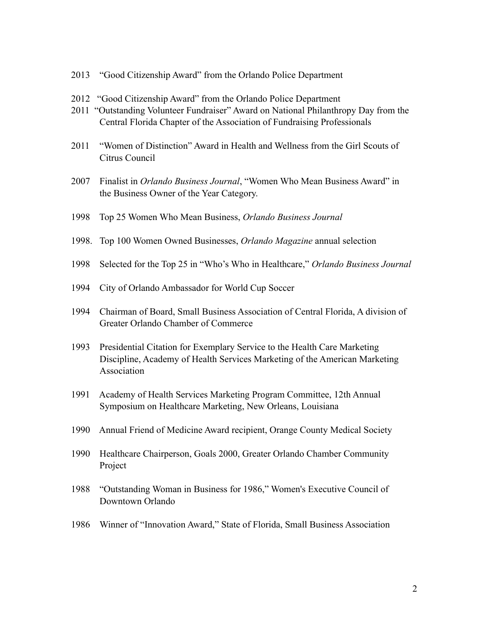- 2013 "Good Citizenship Award" from the Orlando Police Department
- 2012 "Good Citizenship Award" from the Orlando Police Department
- 2011 "Outstanding Volunteer Fundraiser" Award on National Philanthropy Day from the Central Florida Chapter of the Association of Fundraising Professionals
- 2011 "Women of Distinction" Award in Health and Wellness from the Girl Scouts of Citrus Council
- 2007 Finalist in *Orlando Business Journal*, "Women Who Mean Business Award" in the Business Owner of the Year Category.
- 1998 Top 25 Women Who Mean Business, *Orlando Business Journal*
- 1998. Top 100 Women Owned Businesses, *Orlando Magazine* annual selection
- 1998 Selected for the Top 25 in "Who's Who in Healthcare," *Orlando Business Journal*
- 1994 City of Orlando Ambassador for World Cup Soccer
- 1994 Chairman of Board, Small Business Association of Central Florida, A division of Greater Orlando Chamber of Commerce
- 1993 Presidential Citation for Exemplary Service to the Health Care Marketing Discipline, Academy of Health Services Marketing of the American Marketing Association
- 1991 Academy of Health Services Marketing Program Committee, 12th Annual Symposium on Healthcare Marketing, New Orleans, Louisiana
- 1990 Annual Friend of Medicine Award recipient, Orange County Medical Society
- 1990 Healthcare Chairperson, Goals 2000, Greater Orlando Chamber Community Project
- 1988 "Outstanding Woman in Business for 1986," Women's Executive Council of Downtown Orlando
- 1986 Winner of "Innovation Award," State of Florida, Small Business Association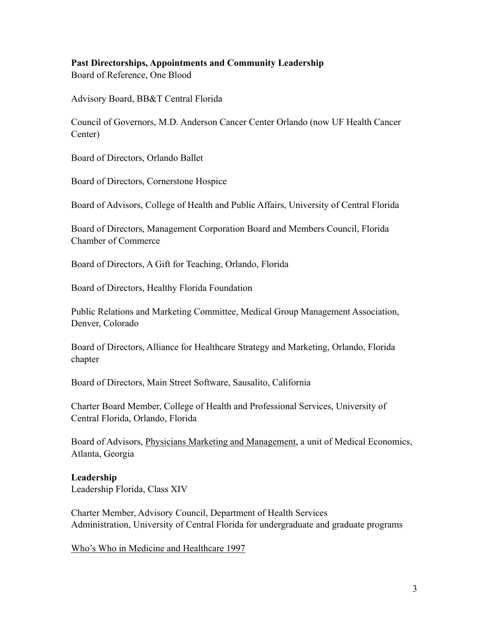## **Past Directorships, Appointments and Community Leadership**

Board of Reference, One Blood

Advisory Board, BB&T Central Florida

Council of Governors, M.D. Anderson Cancer Center Orlando (now UF Health Cancer Center)

Board of Directors, Orlando Ballet

Board of Directors, Cornerstone Hospice

Board of Advisors, College of Health and Public Affairs, University of Central Florida

Board of Directors, Management Corporation Board and Members Council, Florida Chamber of Commerce

Board of Directors, A Gift for Teaching, Orlando, Florida

Board of Directors, Healthy Florida Foundation

Public Relations and Marketing Committee, Medical Group Management Association, Denver, Colorado

Board of Directors, Alliance for Healthcare Strategy and Marketing, Orlando, Florida chapter

Board of Directors, Main Street Software, Sausalito, California

Charter Board Member, College of Health and Professional Services, University of Central Florida, Orlando, Florida

Board of Advisors, Physicians Marketing and Management, a unit of Medical Economics, Atlanta, Georgia

# **Leadership**

Leadership Florida, Class XIV

Charter Member, Advisory Council, Department of Health Services Administration, University of Central Florida for undergraduate and graduate programs

Who's Who in Medicine and Healthcare 1997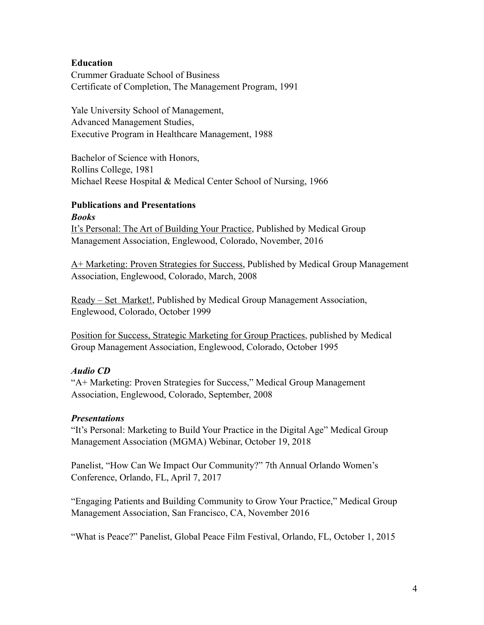## **Education**

Crummer Graduate School of Business Certificate of Completion, The Management Program, 1991

Yale University School of Management, Advanced Management Studies, Executive Program in Healthcare Management, 1988

Bachelor of Science with Honors, Rollins College, 1981 Michael Reese Hospital & Medical Center School of Nursing, 1966

### **Publications and Presentations** *Books*

It's Personal: The Art of Building Your Practice, Published by Medical Group Management Association, Englewood, Colorado, November, 2016

A+ Marketing: Proven Strategies for Success, Published by Medical Group Management Association, Englewood, Colorado, March, 2008

Ready – Set Market!, Published by Medical Group Management Association, Englewood, Colorado, October 1999

Position for Success, Strategic Marketing for Group Practices, published by Medical Group Management Association, Englewood, Colorado, October 1995

# *Audio CD*

"A+ Marketing: Proven Strategies for Success," Medical Group Management Association, Englewood, Colorado, September, 2008

## *Presentations*

"It's Personal: Marketing to Build Your Practice in the Digital Age" Medical Group Management Association (MGMA) Webinar, October 19, 2018

Panelist, "How Can We Impact Our Community?" 7th Annual Orlando Women's Conference, Orlando, FL, April 7, 2017

"Engaging Patients and Building Community to Grow Your Practice," Medical Group Management Association, San Francisco, CA, November 2016

"What is Peace?" Panelist, Global Peace Film Festival, Orlando, FL, October 1, 2015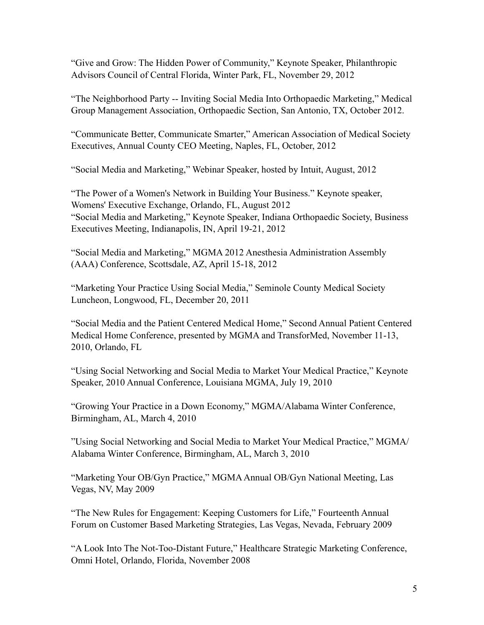"Give and Grow: The Hidden Power of Community," Keynote Speaker, Philanthropic Advisors Council of Central Florida, Winter Park, FL, November 29, 2012

"The Neighborhood Party -- Inviting Social Media Into Orthopaedic Marketing," Medical Group Management Association, Orthopaedic Section, San Antonio, TX, October 2012.

"Communicate Better, Communicate Smarter," American Association of Medical Society Executives, Annual County CEO Meeting, Naples, FL, October, 2012

"Social Media and Marketing," Webinar Speaker, hosted by Intuit, August, 2012

"The Power of a Women's Network in Building Your Business." Keynote speaker, Womens' Executive Exchange, Orlando, FL, August 2012 "Social Media and Marketing," Keynote Speaker, Indiana Orthopaedic Society, Business Executives Meeting, Indianapolis, IN, April 19-21, 2012

"Social Media and Marketing," MGMA 2012 Anesthesia Administration Assembly (AAA) Conference, Scottsdale, AZ, April 15-18, 2012

"Marketing Your Practice Using Social Media," Seminole County Medical Society Luncheon, Longwood, FL, December 20, 2011

"Social Media and the Patient Centered Medical Home," Second Annual Patient Centered Medical Home Conference, presented by MGMA and TransforMed, November 11-13, 2010, Orlando, FL

"Using Social Networking and Social Media to Market Your Medical Practice," Keynote Speaker, 2010 Annual Conference, Louisiana MGMA, July 19, 2010

"Growing Your Practice in a Down Economy," MGMA/Alabama Winter Conference, Birmingham, AL, March 4, 2010

"Using Social Networking and Social Media to Market Your Medical Practice," MGMA/ Alabama Winter Conference, Birmingham, AL, March 3, 2010

"Marketing Your OB/Gyn Practice," MGMA Annual OB/Gyn National Meeting, Las Vegas, NV, May 2009

"The New Rules for Engagement: Keeping Customers for Life," Fourteenth Annual Forum on Customer Based Marketing Strategies, Las Vegas, Nevada, February 2009

"A Look Into The Not-Too-Distant Future," Healthcare Strategic Marketing Conference, Omni Hotel, Orlando, Florida, November 2008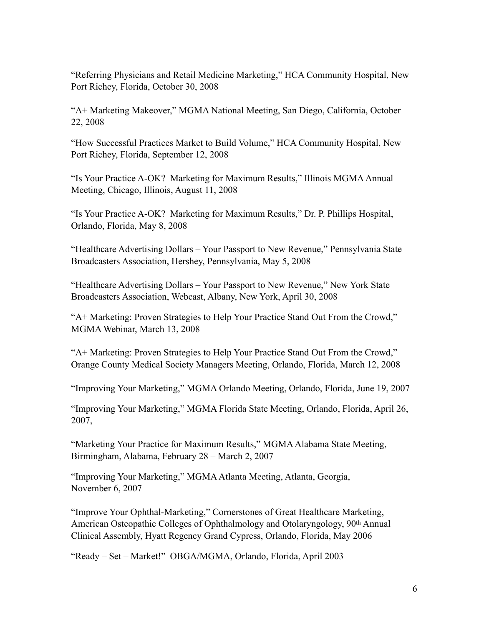"Referring Physicians and Retail Medicine Marketing," HCA Community Hospital, New Port Richey, Florida, October 30, 2008

"A+ Marketing Makeover," MGMA National Meeting, San Diego, California, October 22, 2008

"How Successful Practices Market to Build Volume," HCA Community Hospital, New Port Richey, Florida, September 12, 2008

"Is Your Practice A-OK? Marketing for Maximum Results," Illinois MGMA Annual Meeting, Chicago, Illinois, August 11, 2008

"Is Your Practice A-OK? Marketing for Maximum Results," Dr. P. Phillips Hospital, Orlando, Florida, May 8, 2008

"Healthcare Advertising Dollars – Your Passport to New Revenue," Pennsylvania State Broadcasters Association, Hershey, Pennsylvania, May 5, 2008

"Healthcare Advertising Dollars – Your Passport to New Revenue," New York State Broadcasters Association, Webcast, Albany, New York, April 30, 2008

"A+ Marketing: Proven Strategies to Help Your Practice Stand Out From the Crowd," MGMA Webinar, March 13, 2008

"A+ Marketing: Proven Strategies to Help Your Practice Stand Out From the Crowd," Orange County Medical Society Managers Meeting, Orlando, Florida, March 12, 2008

"Improving Your Marketing," MGMA Orlando Meeting, Orlando, Florida, June 19, 2007

"Improving Your Marketing," MGMA Florida State Meeting, Orlando, Florida, April 26, 2007,

"Marketing Your Practice for Maximum Results," MGMA Alabama State Meeting, Birmingham, Alabama, February 28 – March 2, 2007

"Improving Your Marketing," MGMA Atlanta Meeting, Atlanta, Georgia, November 6, 2007

"Improve Your Ophthal-Marketing," Cornerstones of Great Healthcare Marketing, American Osteopathic Colleges of Ophthalmology and Otolaryngology, 90th Annual Clinical Assembly, Hyatt Regency Grand Cypress, Orlando, Florida, May 2006

"Ready – Set – Market!" OBGA/MGMA, Orlando, Florida, April 2003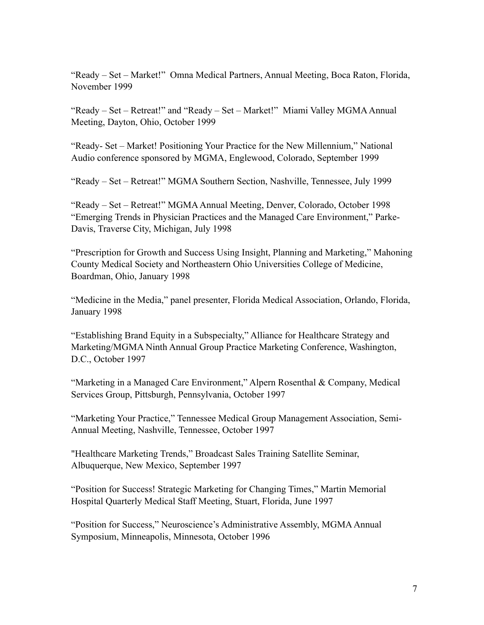"Ready – Set – Market!" Omna Medical Partners, Annual Meeting, Boca Raton, Florida, November 1999

"Ready – Set – Retreat!" and "Ready – Set – Market!" Miami Valley MGMA Annual Meeting, Dayton, Ohio, October 1999

"Ready- Set – Market! Positioning Your Practice for the New Millennium," National Audio conference sponsored by MGMA, Englewood, Colorado, September 1999

"Ready – Set – Retreat!" MGMA Southern Section, Nashville, Tennessee, July 1999

"Ready – Set – Retreat!" MGMA Annual Meeting, Denver, Colorado, October 1998 "Emerging Trends in Physician Practices and the Managed Care Environment," Parke-Davis, Traverse City, Michigan, July 1998

"Prescription for Growth and Success Using Insight, Planning and Marketing," Mahoning County Medical Society and Northeastern Ohio Universities College of Medicine, Boardman, Ohio, January 1998

"Medicine in the Media," panel presenter, Florida Medical Association, Orlando, Florida, January 1998

"Establishing Brand Equity in a Subspecialty," Alliance for Healthcare Strategy and Marketing/MGMA Ninth Annual Group Practice Marketing Conference, Washington, D.C., October 1997

"Marketing in a Managed Care Environment," Alpern Rosenthal & Company, Medical Services Group, Pittsburgh, Pennsylvania, October 1997

"Marketing Your Practice," Tennessee Medical Group Management Association, Semi-Annual Meeting, Nashville, Tennessee, October 1997

"Healthcare Marketing Trends," Broadcast Sales Training Satellite Seminar, Albuquerque, New Mexico, September 1997

"Position for Success! Strategic Marketing for Changing Times," Martin Memorial Hospital Quarterly Medical Staff Meeting, Stuart, Florida, June 1997

"Position for Success," Neuroscience's Administrative Assembly, MGMA Annual Symposium, Minneapolis, Minnesota, October 1996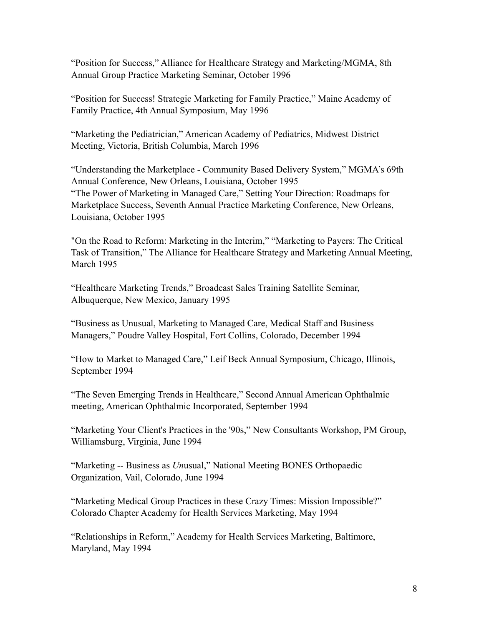"Position for Success," Alliance for Healthcare Strategy and Marketing/MGMA, 8th Annual Group Practice Marketing Seminar, October 1996

"Position for Success! Strategic Marketing for Family Practice," Maine Academy of Family Practice, 4th Annual Symposium, May 1996

"Marketing the Pediatrician," American Academy of Pediatrics, Midwest District Meeting, Victoria, British Columbia, March 1996

"Understanding the Marketplace - Community Based Delivery System," MGMA's 69th Annual Conference, New Orleans, Louisiana, October 1995 "The Power of Marketing in Managed Care," Setting Your Direction: Roadmaps for Marketplace Success, Seventh Annual Practice Marketing Conference, New Orleans, Louisiana, October 1995

"On the Road to Reform: Marketing in the Interim," "Marketing to Payers: The Critical Task of Transition," The Alliance for Healthcare Strategy and Marketing Annual Meeting, March 1995

"Healthcare Marketing Trends," Broadcast Sales Training Satellite Seminar, Albuquerque, New Mexico, January 1995

"Business as Unusual, Marketing to Managed Care, Medical Staff and Business Managers," Poudre Valley Hospital, Fort Collins, Colorado, December 1994

"How to Market to Managed Care," Leif Beck Annual Symposium, Chicago, Illinois, September 1994

"The Seven Emerging Trends in Healthcare," Second Annual American Ophthalmic meeting, American Ophthalmic Incorporated, September 1994

"Marketing Your Client's Practices in the '90s," New Consultants Workshop, PM Group, Williamsburg, Virginia, June 1994

"Marketing -- Business as *Un*usual," National Meeting BONES Orthopaedic Organization, Vail, Colorado, June 1994

"Marketing Medical Group Practices in these Crazy Times: Mission Impossible?" Colorado Chapter Academy for Health Services Marketing, May 1994

"Relationships in Reform," Academy for Health Services Marketing, Baltimore, Maryland, May 1994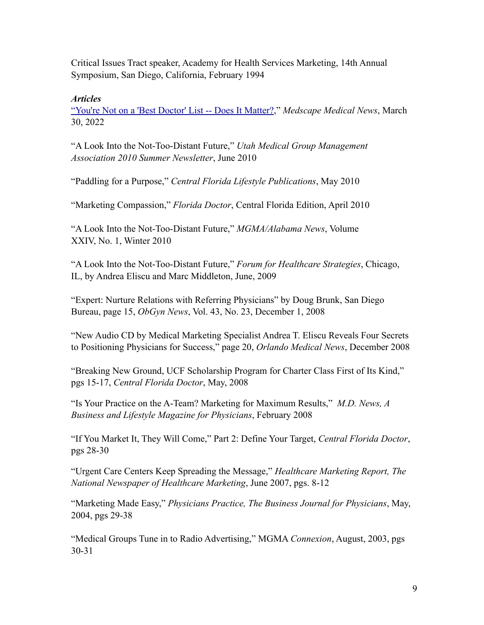Critical Issues Tract speaker, Academy for Health Services Marketing, 14th Annual Symposium, San Diego, California, February 1994

## *Articles*

["You're Not on a 'Best Doctor' List -- Does It Matter?,](https://www.medscape.com/viewarticle/971230#vp_1)" *Medscape Medical News*, March 30, 2022

"A Look Into the Not-Too-Distant Future," *Utah Medical Group Management Association 2010 Summer Newsletter*, June 2010

"Paddling for a Purpose," *Central Florida Lifestyle Publications*, May 2010

"Marketing Compassion," *Florida Doctor*, Central Florida Edition, April 2010

"A Look Into the Not-Too-Distant Future," *MGMA/Alabama News*, Volume XXIV, No. 1, Winter 2010

"A Look Into the Not-Too-Distant Future," *Forum for Healthcare Strategies*, Chicago, IL, by Andrea Eliscu and Marc Middleton, June, 2009

"Expert: Nurture Relations with Referring Physicians" by Doug Brunk, San Diego Bureau, page 15, *ObGyn News*, Vol. 43, No. 23, December 1, 2008

"New Audio CD by Medical Marketing Specialist Andrea T. Eliscu Reveals Four Secrets to Positioning Physicians for Success," page 20, *Orlando Medical News*, December 2008

"Breaking New Ground, UCF Scholarship Program for Charter Class First of Its Kind," pgs 15-17, *Central Florida Doctor*, May, 2008

"Is Your Practice on the A-Team? Marketing for Maximum Results," *M.D. News, A Business and Lifestyle Magazine for Physicians*, February 2008

"If You Market It, They Will Come," Part 2: Define Your Target, *Central Florida Doctor*, pgs 28-30

"Urgent Care Centers Keep Spreading the Message," *Healthcare Marketing Report, The National Newspaper of Healthcare Marketing*, June 2007, pgs. 8-12

"Marketing Made Easy," *Physicians Practice, The Business Journal for Physicians*, May, 2004, pgs 29-38

"Medical Groups Tune in to Radio Advertising," MGMA *Connexion*, August, 2003, pgs 30-31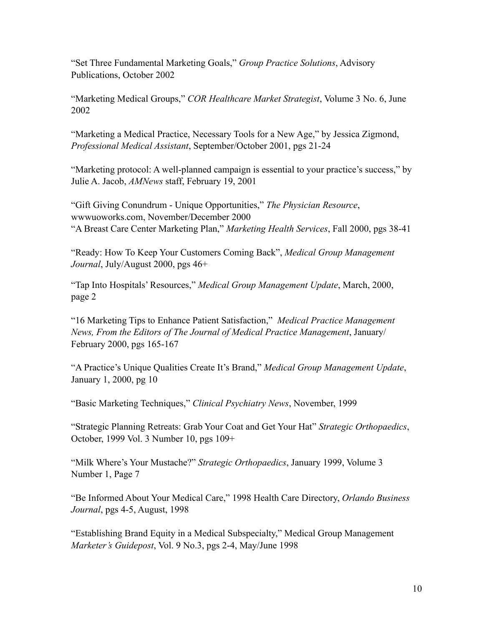"Set Three Fundamental Marketing Goals," *Group Practice Solutions*, Advisory Publications, October 2002

"Marketing Medical Groups," *COR Healthcare Market Strategist*, Volume 3 No. 6, June 2002

"Marketing a Medical Practice, Necessary Tools for a New Age," by Jessica Zigmond, *Professional Medical Assistant*, September/October 2001, pgs 21-24

"Marketing protocol: A well-planned campaign is essential to your practice's success," by Julie A. Jacob, *AMNews* staff, February 19, 2001

"Gift Giving Conundrum - Unique Opportunities," *The Physician Resource*, wwwuoworks.com, November/December 2000 "A Breast Care Center Marketing Plan," *Marketing Health Services*, Fall 2000, pgs 38-41

"Ready: How To Keep Your Customers Coming Back", *Medical Group Management Journal*, July/August 2000, pgs 46+

"Tap Into Hospitals' Resources," *Medical Group Management Update*, March, 2000, page 2

"16 Marketing Tips to Enhance Patient Satisfaction," *Medical Practice Management News, From the Editors of The Journal of Medical Practice Management*, January/ February 2000, pgs 165-167

"A Practice's Unique Qualities Create It's Brand," *Medical Group Management Update*, January 1, 2000, pg 10

"Basic Marketing Techniques," *Clinical Psychiatry News*, November, 1999

"Strategic Planning Retreats: Grab Your Coat and Get Your Hat" *Strategic Orthopaedics*, October, 1999 Vol. 3 Number 10, pgs 109+

"Milk Where's Your Mustache?" *Strategic Orthopaedics*, January 1999, Volume 3 Number 1, Page 7

"Be Informed About Your Medical Care," 1998 Health Care Directory, *Orlando Business Journal*, pgs 4-5, August, 1998

"Establishing Brand Equity in a Medical Subspecialty," Medical Group Management *Marketer's Guidepost*, Vol. 9 No.3, pgs 2-4, May/June 1998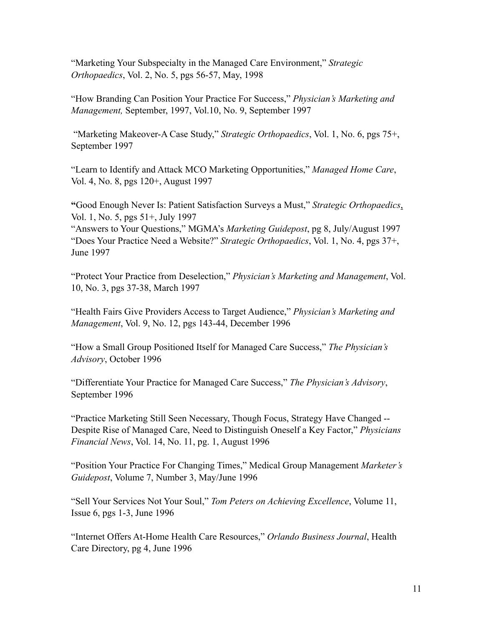"Marketing Your Subspecialty in the Managed Care Environment," *Strategic Orthopaedics*, Vol. 2, No. 5, pgs 56-57, May, 1998

"How Branding Can Position Your Practice For Success," *Physician's Marketing and Management,* September, 1997, Vol.10, No. 9, September 1997

 "Marketing Makeover-A Case Study," *Strategic Orthopaedics*, Vol. 1, No. 6, pgs 75+, September 1997

"Learn to Identify and Attack MCO Marketing Opportunities," *Managed Home Care*, Vol. 4, No. 8, pgs 120+, August 1997

**"**Good Enough Never Is: Patient Satisfaction Surveys a Must," *Strategic Orthopaedics*, Vol. 1, No. 5, pgs 51+, July 1997

"Answers to Your Questions," MGMA's *Marketing Guidepost*, pg 8, July/August 1997 "Does Your Practice Need a Website?" *Strategic Orthopaedics*, Vol. 1, No. 4, pgs 37+, June 1997

"Protect Your Practice from Deselection," *Physician's Marketing and Management*, Vol. 10, No. 3, pgs 37-38, March 1997

"Health Fairs Give Providers Access to Target Audience," *Physician's Marketing and Management*, Vol. 9, No. 12, pgs 143-44, December 1996

"How a Small Group Positioned Itself for Managed Care Success," *The Physician's Advisory*, October 1996

"Differentiate Your Practice for Managed Care Success," *The Physician's Advisory*, September 1996

"Practice Marketing Still Seen Necessary, Though Focus, Strategy Have Changed -- Despite Rise of Managed Care, Need to Distinguish Oneself a Key Factor," *Physicians Financial News*, Vol. 14, No. 11, pg. 1, August 1996

"Position Your Practice For Changing Times," Medical Group Management *Marketer's Guidepost*, Volume 7, Number 3, May/June 1996

"Sell Your Services Not Your Soul," *Tom Peters on Achieving Excellence*, Volume 11, Issue 6, pgs 1-3, June 1996

"Internet Offers At-Home Health Care Resources," *Orlando Business Journal*, Health Care Directory, pg 4, June 1996